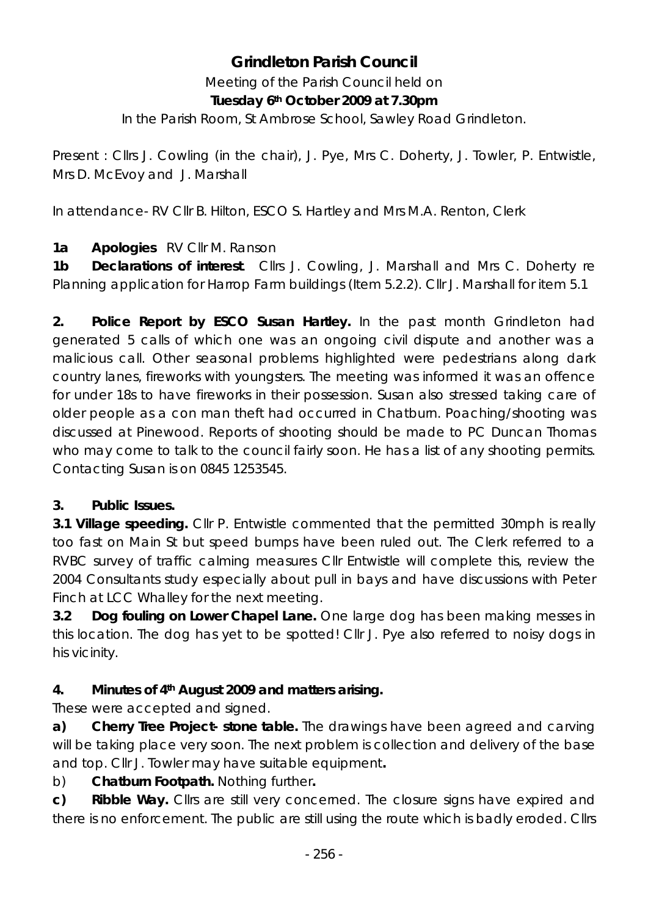# **Grindleton Parish Council**

Meeting of the Parish Council held on **Tuesday 6th October 2009 at 7.30pm** 

In the Parish Room, St Ambrose School, Sawley Road Grindleton.

Present : Cllrs J. Cowling (in the chair), J. Pye, Mrs C. Doherty, J. Towler, P. Entwistle, Mrs D. McEvoy and J. Marshall

In attendance- RV Cllr B. Hilton, ESCO S. Hartley and Mrs M.A. Renton, Clerk

## **1a Apologies** RV Cllr M. Ranson

**1b Declarations of interest**. Cllrs J. Cowling, J. Marshall and Mrs C. Doherty re Planning application for Harrop Farm buildings (Item 5.2.2). Cllr J. Marshall for item 5.1

**2. Police Report by ESCO Susan Hartley.** In the past month Grindleton had generated 5 calls of which one was an ongoing civil dispute and another was a malicious call. Other seasonal problems highlighted were pedestrians along dark country lanes, fireworks with youngsters. The meeting was informed it was an offence for under 18s to have fireworks in their possession. Susan also stressed taking care of older people as a con man theft had occurred in Chatburn. Poaching/shooting was discussed at Pinewood. Reports of shooting should be made to PC Duncan Thomas who may come to talk to the council fairly soon. He has a list of any shooting permits. Contacting Susan is on 0845 1253545.

## **3. Public Issues.**

**3.1 Village speeding.** Cllr P. Entwistle commented that the permitted 30mph is really too fast on Main St but speed bumps have been ruled out. The Clerk referred to a RVBC survey of traffic calming measures Cllr Entwistle will complete this, review the 2004 Consultants study especially about pull in bays and have discussions with Peter Finch at LCC Whalley for the next meeting.

**3.2 Dog fouling on Lower Chapel Lane.** One large dog has been making messes in this location. The dog has yet to be spotted! Cllr J. Pye also referred to noisy dogs in his vicinity.

## **4. Minutes of 4th August 2009 and matters arising.**

These were accepted and signed.

**a) Cherry Tree Project- stone table.** The drawings have been agreed and carving will be taking place very soon. The next problem is collection and delivery of the base and top. Cllr J. Towler may have suitable equipment**.** 

## b) **Chatburn Footpath.** Nothing further**.**

**c) Ribble Way.** Cllrs are still very concerned. The closure signs have expired and there is no enforcement. The public are still using the route which is badly eroded. Cllrs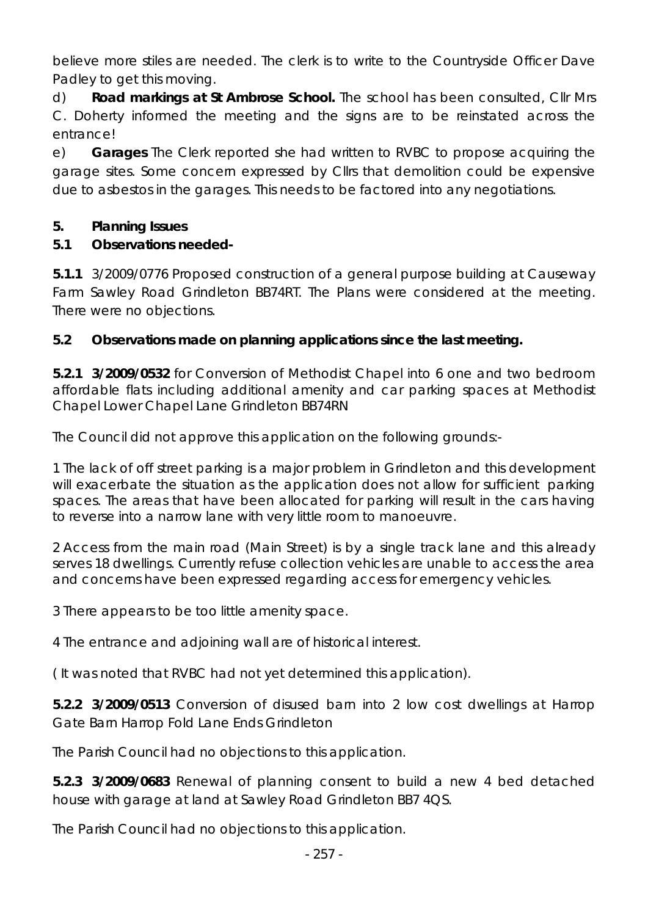believe more stiles are needed. The clerk is to write to the Countryside Officer Dave Padley to get this moving.

d) **Road markings at St Ambrose School.** The school has been consulted, Cllr Mrs C. Doherty informed the meeting and the signs are to be reinstated across the entrance!

e) **Garages** The Clerk reported she had written to RVBC to propose acquiring the garage sites. Some concern expressed by Cllrs that demolition could be expensive due to asbestos in the garages. This needs to be factored into any negotiations.

#### **5. Planning Issues**

#### **5.1 Observations needed-**

**5.1.1** 3/2009/0776 Proposed construction of a general purpose building at Causeway Farm Sawley Road Grindleton BB74RT. The Plans were considered at the meeting. There were no objections.

## **5.2 Observations made on planning applications since the last meeting.**

**5.2.1 3/2009/0532** for Conversion of Methodist Chapel into 6 one and two bedroom affordable flats including additional amenity and car parking spaces at Methodist Chapel Lower Chapel Lane Grindleton BB74RN

The Council did not approve this application on the following grounds:-

1 The lack of off street parking is a major problem in Grindleton and this development will exacerbate the situation as the application does not allow for sufficient parking spaces. The areas that have been allocated for parking will result in the cars having to reverse into a narrow lane with very little room to manoeuvre.

2 Access from the main road (Main Street) is by a single track lane and this already serves 18 dwellings. Currently refuse collection vehicles are unable to access the area and concerns have been expressed regarding access for emergency vehicles.

3 There appears to be too little amenity space.

4 The entrance and adjoining wall are of historical interest.

( It was noted that RVBC had not yet determined this application).

**5.2.2 3/2009/0513** Conversion of disused barn into 2 low cost dwellings at Harrop Gate Barn Harrop Fold Lane Ends Grindleton

The Parish Council had no objections to this application.

**5.2.3 3/2009/0683** Renewal of planning consent to build a new 4 bed detached house with garage at land at Sawley Road Grindleton BB7 4QS.

The Parish Council had no objections to this application.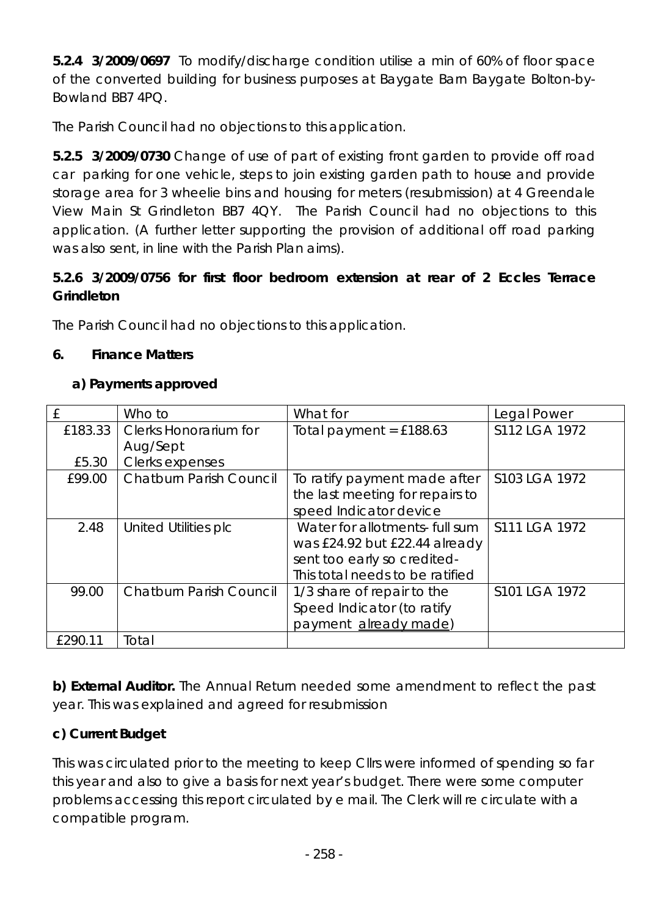**5.2.4 3/2009/0697** To modify/discharge condition utilise a min of 60% of floor space of the converted building for business purposes at Baygate Barn Baygate Bolton-by-Bowland BB7 4PQ.

The Parish Council had no objections to this application.

**5.2.5 3/2009/0730** Change of use of part of existing front garden to provide off road car parking for one vehicle, steps to join existing garden path to house and provide storage area for 3 wheelie bins and housing for meters (resubmission) at 4 Greendale View Main St Grindleton BB7 4QY. The Parish Council had no objections to this application. (A further letter supporting the provision of additional off road parking was also sent, in line with the Parish Plan aims).

## **5.2.6 3/2009/0756 for first floor bedroom extension at rear of 2 Eccles Terrace Grindleton**

The Parish Council had no objections to this application.

#### **6. Finance Matters**

#### **a) Payments approved**

|         | Who to                         | What for                        | Legal Power   |
|---------|--------------------------------|---------------------------------|---------------|
| £183.33 | <b>Clerks Honorarium for</b>   | Total payment = $£188.63$       | S112 LGA 1972 |
|         | Aug/Sept                       |                                 |               |
| £5.30   | Clerks expenses                |                                 |               |
| £99.00  | <b>Chatburn Parish Council</b> | To ratify payment made after    | S103 LGA 1972 |
|         |                                | the last meeting for repairs to |               |
|         |                                | speed Indicator device          |               |
| 2.48    | United Utilities plc           | Water for allotments- full sum  | S111 LGA 1972 |
|         |                                | was £24.92 but £22.44 already   |               |
|         |                                | sent too early so credited-     |               |
|         |                                | This total needs to be ratified |               |
| 99.00   | <b>Chatburn Parish Council</b> | 1/3 share of repair to the      | S101 LGA 1972 |
|         |                                | Speed Indicator (to ratify      |               |
|         |                                | payment already made)           |               |
| £290.11 | Total                          |                                 |               |

**b) External Auditor.** The Annual Return needed some amendment to reflect the past year. This was explained and agreed for resubmission

## **c) Current Budget**

This was circulated prior to the meeting to keep Cllrs were informed of spending so far this year and also to give a basis for next year's budget. There were some computer problems accessing this report circulated by e mail. The Clerk will re circulate with a compatible program.